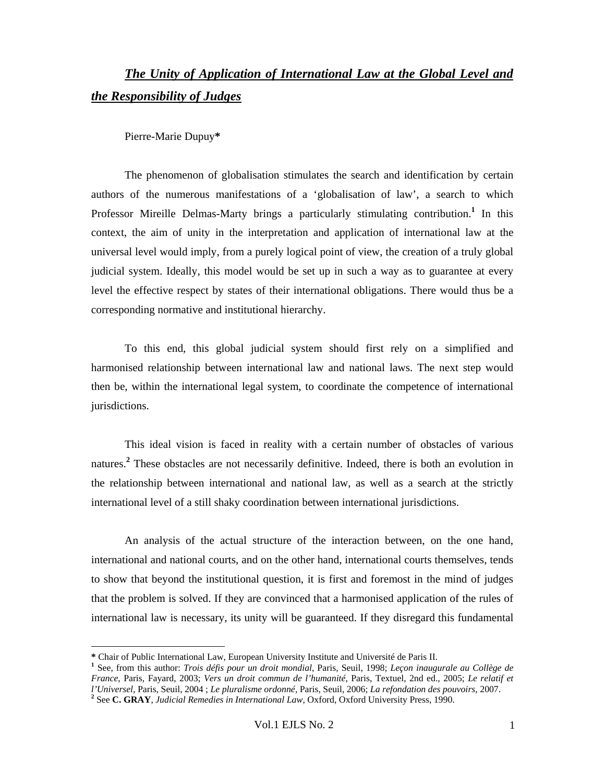# *The Unity of Application of International Law at the Global Level and the Responsibility of Judges*

Pierre-Marie Dupuy**\***

The phenomenon of globalisation stimulates the search and identification by certain authors of the numerous manifestations of a 'globalisation of law', a search to which Professor Mireille Delmas-Marty brings a particularly stimulating contribution.<sup>1</sup> In this context, the aim of unity in the interpretation and application of international law at the universal level would imply, from a purely logical point of view, the creation of a truly global judicial system. Ideally, this model would be set up in such a way as to guarantee at every level the effective respect by states of their international obligations. There would thus be a corresponding normative and institutional hierarchy.

To this end, this global judicial system should first rely on a simplified and harmonised relationship between international law and national laws. The next step would then be, within the international legal system, to coordinate the competence of international jurisdictions.

This ideal vision is faced in reality with a certain number of obstacles of various natures.**<sup>2</sup>** These obstacles are not necessarily definitive. Indeed, there is both an evolution in the relationship between international and national law, as well as a search at the strictly international level of a still shaky coordination between international jurisdictions.

An analysis of the actual structure of the interaction between, on the one hand, international and national courts, and on the other hand, international courts themselves, tends to show that beyond the institutional question, it is first and foremost in the mind of judges that the problem is solved. If they are convinced that a harmonised application of the rules of international law is necessary, its unity will be guaranteed. If they disregard this fundamental

**<sup>\*</sup>** Chair of Public International Law, European University Institute and Université de Paris II. **<sup>1</sup>**

See, from this author: *Trois défis pour un droit mondial*, Paris, Seuil, 1998; *Leçon inaugurale au Collège de France*, Paris, Fayard, 2003; *Vers un droit commun de l'humanité*, Paris, Textuel, 2nd ed., 2005; *Le relatif et l'Universel*, Paris, Seuil, 2004 ; *Le pluralisme ordonné*, Paris, Seuil, 2006; *La refondation des pouvoirs*, 2007. **<sup>2</sup>**

<sup>&</sup>lt;sup>2</sup> See C. GRAY, *Judicial Remedies in International Law*, Oxford, Oxford University Press, 1990.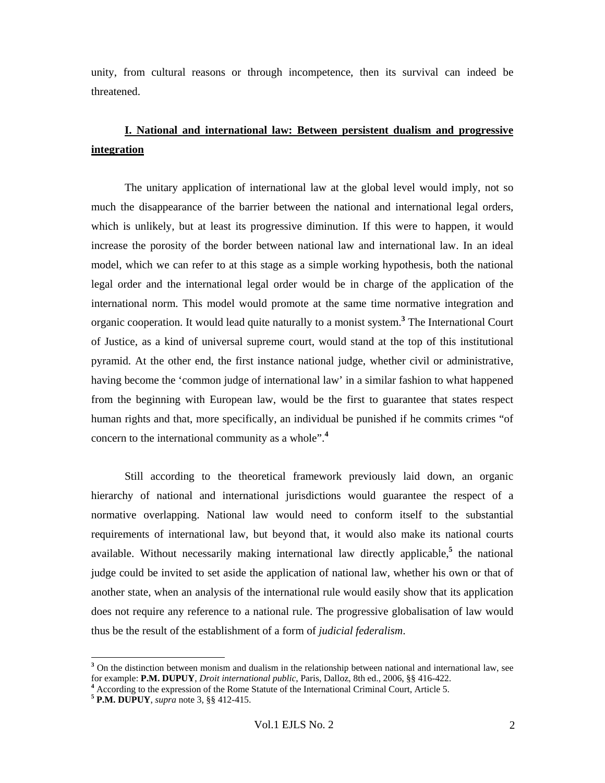unity, from cultural reasons or through incompetence, then its survival can indeed be threatened.

# **I. National and international law: Between persistent dualism and progressive integration**

The unitary application of international law at the global level would imply, not so much the disappearance of the barrier between the national and international legal orders, which is unlikely, but at least its progressive diminution. If this were to happen, it would increase the porosity of the border between national law and international law. In an ideal model, which we can refer to at this stage as a simple working hypothesis, both the national legal order and the international legal order would be in charge of the application of the international norm. This model would promote at the same time normative integration and organic cooperation. It would lead quite naturally to a monist system.**<sup>3</sup>** The International Court of Justice, as a kind of universal supreme court, would stand at the top of this institutional pyramid. At the other end, the first instance national judge, whether civil or administrative, having become the 'common judge of international law' in a similar fashion to what happened from the beginning with European law, would be the first to guarantee that states respect human rights and that, more specifically, an individual be punished if he commits crimes "of concern to the international community as a whole".**<sup>4</sup>**

Still according to the theoretical framework previously laid down, an organic hierarchy of national and international jurisdictions would guarantee the respect of a normative overlapping. National law would need to conform itself to the substantial requirements of international law, but beyond that, it would also make its national courts available. Without necessarily making international law directly applicable,**<sup>5</sup>** the national judge could be invited to set aside the application of national law, whether his own or that of another state, when an analysis of the international rule would easily show that its application does not require any reference to a national rule. The progressive globalisation of law would thus be the result of the establishment of a form of *judicial federalism*.

<sup>&</sup>lt;sup>3</sup> On the distinction between monism and dualism in the relationship between national and international law, see for example: **P.M. DUPUY**, *Droit international public*, Paris, Dalloz, 8th ed., 2006, §§ 416-422. **<sup>4</sup>**

<sup>&</sup>lt;sup>4</sup> According to the expression of the Rome Statute of the International Criminal Court, Article 5.

**<sup>5</sup> P.M. DUPUY**, *supra* note 3, §§ 412-415.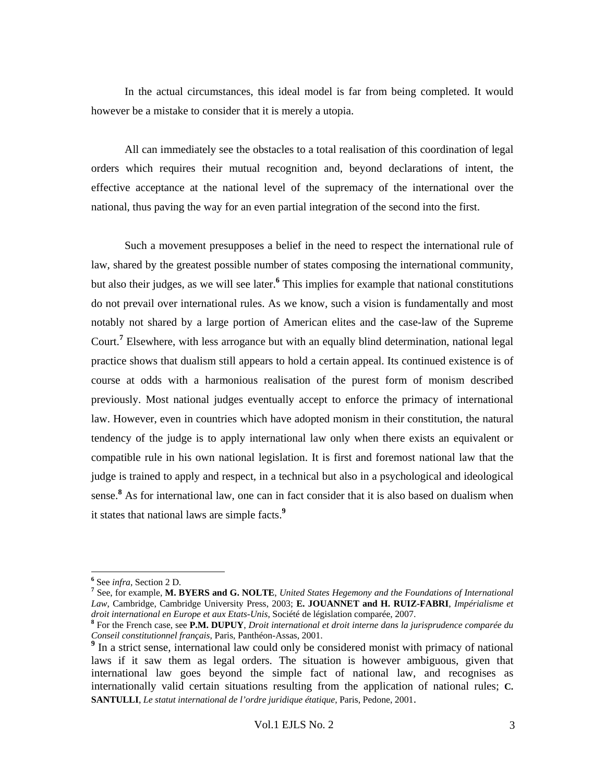In the actual circumstances, this ideal model is far from being completed. It would however be a mistake to consider that it is merely a utopia.

All can immediately see the obstacles to a total realisation of this coordination of legal orders which requires their mutual recognition and, beyond declarations of intent, the effective acceptance at the national level of the supremacy of the international over the national, thus paving the way for an even partial integration of the second into the first.

Such a movement presupposes a belief in the need to respect the international rule of law, shared by the greatest possible number of states composing the international community, but also their judges, as we will see later.**<sup>6</sup>** This implies for example that national constitutions do not prevail over international rules. As we know, such a vision is fundamentally and most notably not shared by a large portion of American elites and the case-law of the Supreme Court.**<sup>7</sup>** Elsewhere, with less arrogance but with an equally blind determination, national legal practice shows that dualism still appears to hold a certain appeal. Its continued existence is of course at odds with a harmonious realisation of the purest form of monism described previously. Most national judges eventually accept to enforce the primacy of international law. However, even in countries which have adopted monism in their constitution, the natural tendency of the judge is to apply international law only when there exists an equivalent or compatible rule in his own national legislation. It is first and foremost national law that the judge is trained to apply and respect, in a technical but also in a psychological and ideological sense.**<sup>8</sup>** As for international law, one can in fact consider that it is also based on dualism when it states that national laws are simple facts.**<sup>9</sup>**

 $^6$  See *infra*, Section 2 D.<br><sup>7</sup> See for exemple M. **P.** 

See, for example, **M. BYERS and G. NOLTE**, *United States Hegemony and the Foundations of International Law*, Cambridge, Cambridge University Press, 2003; **E. JOUANNET and H. RUIZ-FABRI**, *Impérialisme et droit international en Europe et aux Etats-Unis*, Société de législation comparée, 2007. **<sup>8</sup>**

For the French case, see **P.M. DUPUY**, *Droit international et droit interne dans la jurisprudence comparée du* 

*Conseil constitutionnel français*, Paris, Panthéon-Assas, 2001. **9** In a strict sense, international law could only be considered monist with primacy of national laws if it saw them as legal orders. The situation is however ambiguous, given that international law goes beyond the simple fact of national law, and recognises as internationally valid certain situations resulting from the application of national rules; **C. SANTULLI**, *Le statut international de l'ordre juridique étatique*, Paris, Pedone, 2001.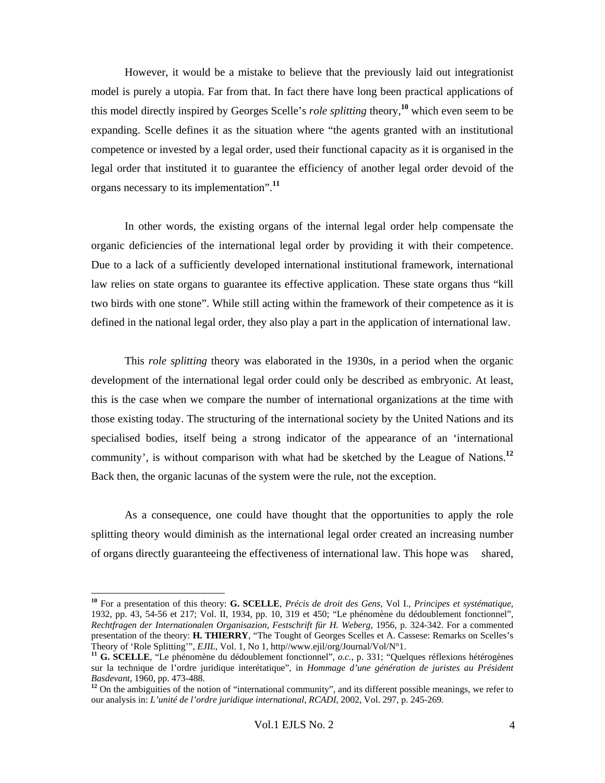However, it would be a mistake to believe that the previously laid out integrationist model is purely a utopia. Far from that. In fact there have long been practical applications of this model directly inspired by Georges Scelle's *role splitting* theory,**<sup>10</sup>** which even seem to be expanding. Scelle defines it as the situation where "the agents granted with an institutional competence or invested by a legal order, used their functional capacity as it is organised in the legal order that instituted it to guarantee the efficiency of another legal order devoid of the organs necessary to its implementation".**<sup>11</sup>**

In other words, the existing organs of the internal legal order help compensate the organic deficiencies of the international legal order by providing it with their competence. Due to a lack of a sufficiently developed international institutional framework, international law relies on state organs to guarantee its effective application. These state organs thus "kill two birds with one stone". While still acting within the framework of their competence as it is defined in the national legal order, they also play a part in the application of international law.

This *role splitting* theory was elaborated in the 1930s, in a period when the organic development of the international legal order could only be described as embryonic. At least, this is the case when we compare the number of international organizations at the time with those existing today. The structuring of the international society by the United Nations and its specialised bodies, itself being a strong indicator of the appearance of an 'international community', is without comparison with what had be sketched by the League of Nations.**<sup>12</sup>** Back then, the organic lacunas of the system were the rule, not the exception.

As a consequence, one could have thought that the opportunities to apply the role splitting theory would diminish as the international legal order created an increasing number of organs directly guaranteeing the effectiveness of international law. This hope w as shared,

**<sup>10</sup>** For a presentation of this theory: **G. SCELLE**, *Précis de droit des Gens*, Vol I., *Principes et systématique*, 1932, pp. 43, 54-56 et 217; Vol. II, 1934, pp. 10, 319 et 450; "Le phénomène du dédoublement fonctionnel", *Rechtfragen der Internationalen Organisazion, Festschrift für H. Weberg,* 1956, p. 324-342. For a commented presentation of the theory: **H. THIERRY**, "The Tought of Georges Scelles et A. Cassese: Remarks on Scelles's Theory of 'Role Splitting'", *EJIL*, Vol. 1, No 1, http//www.ejil/org/Journal/Vol/N°1. **<sup>11</sup> G. SCELLE**, "Le phénomène du dédoublement fonctionnel", *o.c.*, p. 331; "Quelques réflexions hétérogènes

sur la technique de l'ordre juridique interétatique", in *Hommage d'une génération de juristes au Président Basdevant*, 1960, pp. 473-488. **<sup>12</sup>** On the ambiguities of the notion of "international community", and its different possible meanings, we refer to

our analysis in: *L'unité de l'ordre juridique international*, *RCADI*, 2002, Vol. 297, p. 245-269.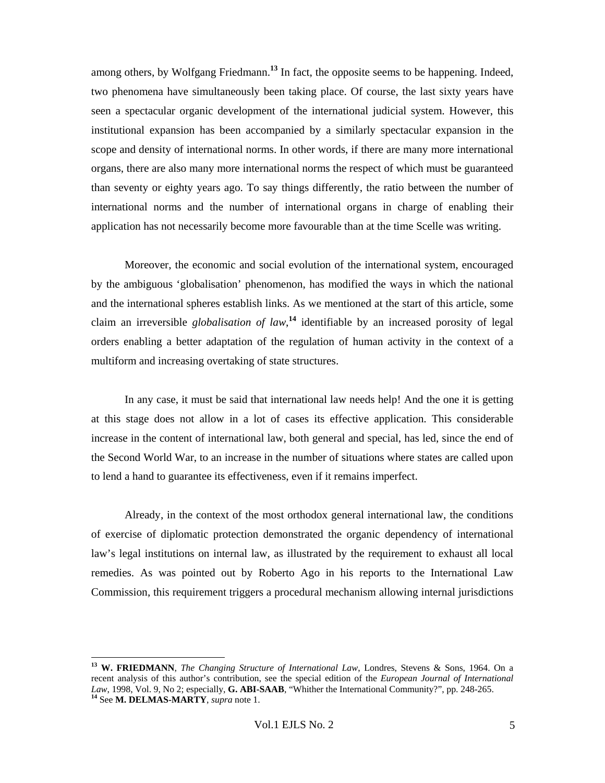among others, by Wolfgang Friedmann.**<sup>13</sup>** In fact, the opposite seems to be happening. Indeed, two phenomena have simultaneously been taking place. Of course, the last sixty years have seen a spectacular organic development of the international judicial system. However, this institutional expansion has been accompanied by a similarly spectacular expansion in the scope and density of international norms. In other words, if there are many more international organs, there are also many more international norms the respect of which must be guaranteed than seventy or eighty years ago. To say things differently, the ratio between the number of international norms and the number of international organs in charge of enabling their application has not necessarily become more favourable than at the time Scelle was writing.

Moreover, the economic and social evolution of the international system, encouraged by the ambiguous 'globalisation' phenomenon, has modified the ways in which the national and the international spheres establish links. As we mentioned at the start of this article, some claim an irreversible *globalisation of law*, **<sup>14</sup>** identifiable by an increased porosity of legal orders enabling a better adaptation of the regulation of human activity in the context of a multiform and increasing overtaking of state structures.

In any case, it must be said that international law needs help! And the one it is getting at this stage does not allow in a lot of cases its effective application. This considerable increase in the content of international law, both general and special, has led, since the end of the Second World War, to an increase in the number of situations where states are called upon to lend a hand to guarantee its effectiveness, even if it remains imperfect.

Already, in the context of the most orthodox general international law, the conditions of exercise of diplomatic protection demonstrated the organic dependency of international law's legal institutions on internal law, as illustrated by the requirement to exhaust all local remedies. As was pointed out by Roberto Ago in his reports to the International Law Commission, this requirement triggers a procedural mechanism allowing internal jurisdictions

**<sup>13</sup> W. FRIEDMANN**, *The Changing Structure of International Law*, Londres, Stevens & Sons, 1964. On a recent analysis of this author's contribution, see the special edition of the *European Journal of International Law*, 1998, Vol. 9, No 2; especially, **G. ABI-SAAB**, "Whither the International Community?", pp. 248-265. **<sup>14</sup>** See **M. DELMAS-MARTY**, *supra* note 1.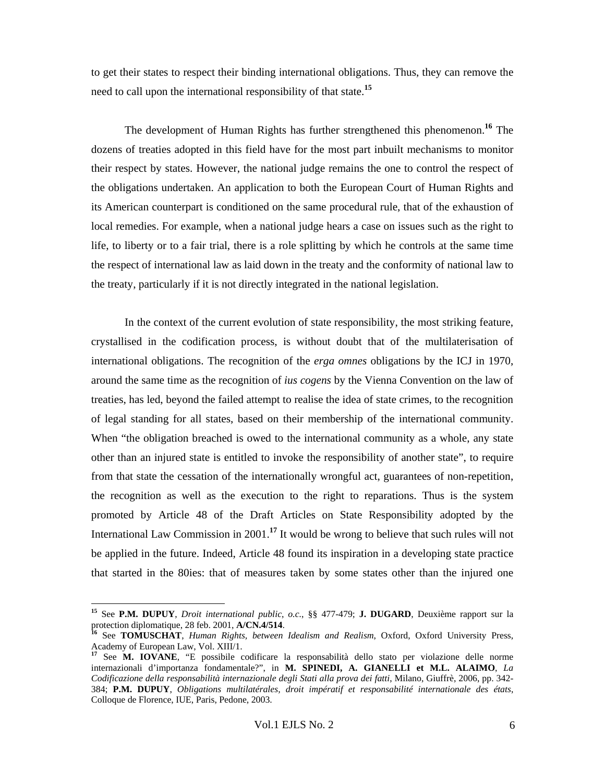to get their states to respect their binding international obligations. Thus, they can remove the need to call upon the international responsibility of that state.**<sup>15</sup>**

The development of Human Rights has further strengthened this phenomenon.**<sup>16</sup>** The dozens of treaties adopted in this field have for the most part inbuilt mechanisms to monitor their respect by states. However, the national judge remains the one to control the respect of the obligations undertaken. An application to both the European Court of Human Rights and its American counterpart is conditioned on the same procedural rule, that of the exhaustion of local remedies. For example, when a national judge hears a case on issues such as the right to life, to liberty or to a fair trial, there is a role splitting by which he controls at the same time the respect of international law as laid down in the treaty and the conformity of national law to the treaty, particularly if it is not directly integrated in the national legislation.

In the context of the current evolution of state responsibility, the most striking feature, crystallised in the codification process, is without doubt that of the multilaterisation of international obligations. The recognition of the *erga omnes* obligations by the ICJ in 1970, around the same time as the recognition of *ius cogens* by the Vienna Convention on the law of treaties, has led, beyond the failed attempt to realise the idea of state crimes, to the recognition of legal standing for all states, based on their membership of the international community. When "the obligation breached is owed to the international community as a whole, any state other than an injured state is entitled to invoke the responsibility of another state", to require from that state the cessation of the internationally wrongful act, guarantees of non-repetition, the recognition as well as the execution to the right to reparations. Thus is the system promoted by Article 48 of the Draft Articles on State Responsibility adopted by the International Law Commission in 2001.**<sup>17</sup>** It would be wrong to believe that such rules will not be applied in the future. Indeed, Article 48 found its inspiration in a developing state practice that started in the 80ies: that of measures taken by some states other than the injured one

 $\overline{a}$ 

**<sup>15</sup>** See **P.M. DUPUY**, *Droit international public*, *o.c.*, §§ 477-479; **J. DUGARD**, Deuxième rapport sur la protection diplomatique, 28 feb. 2001, **A/CN.4/514**. **16** See **TOMUSCHAT**, *Human Rights, between Idealism and Realism*, Oxford, Oxford University Press,

Academy of European Law, Vol. XIII/1.

**<sup>17</sup>** See **M. IOVANE**, "E possibile codificare la responsabilità dello stato per violazione delle norme internazionali d'importanza fondamentale?", in **M. SPINEDI, A. GIANELLI et M.L. ALAIMO**, *La Codificazione della responsabilità internazionale degli Stati alla prova dei fatti*, Milano, Giuffrè, 2006, pp. 342- 384; **P.M. DUPUY**, *Obligations multilatérales, droit impératif et responsabilité internationale des états*, Colloque de Florence, IUE, Paris, Pedone, 2003.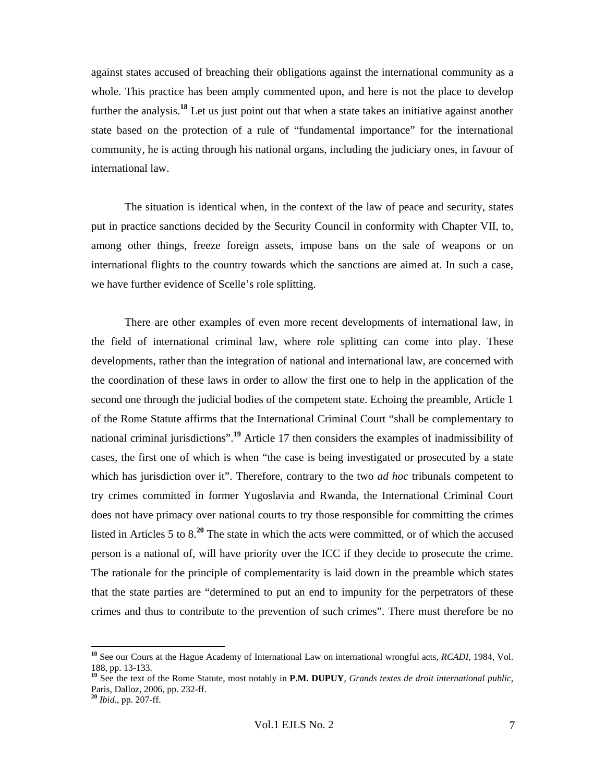against states accused of breaching their obligations against the international community as a whole. This practice has been amply commented upon, and here is not the place to develop further the analysis.**<sup>18</sup>** Let us just point out that when a state takes an initiative against another state based on the protection of a rule of "fundamental importance" for the international community, he is acting through his national organs, including the judiciary ones, in favour of international law.

The situation is identical when, in the context of the law of peace and security, states put in practice sanctions decided by the Security Council in conformity with Chapter VII, to, among other things, freeze foreign assets, impose bans on the sale of weapons or on international flights to the country towards which the sanctions are aimed at. In such a case, we have further evidence of Scelle's role splitting.

There are other examples of even more recent developments of international law, in the field of international criminal law, where role splitting can come into play. These developments, rather than the integration of national and international law, are concerned with the coordination of these laws in order to allow the first one to help in the application of the second one through the judicial bodies of the competent state. Echoing the preamble, Article 1 of the Rome Statute affirms that the International Criminal Court "shall be complementary to national criminal jurisdictions".**<sup>19</sup>** Article 17 then considers the examples of inadmissibility of cases, the first one of which is when "the case is being investigated or prosecuted by a state which has jurisdiction over it". Therefore, contrary to the two *ad hoc* tribunals competent to try crimes committed in former Yugoslavia and Rwanda, the International Criminal Court does not have primacy over national courts to try those responsible for committing the crimes listed in Articles 5 to 8.**<sup>20</sup>** The state in which the acts were committed, or of which the accused person is a national of, will have priority over the ICC if they decide to prosecute the crime. The rationale for the principle of complementarity is laid down in the preamble which states that the state parties are "determined to put an end to impunity for the perpetrators of these crimes and thus to contribute to the prevention of such crimes". There must therefore be no

**<sup>18</sup>** See our Cours at the Hague Academy of International Law on international wrongful acts, *RCADI*, 1984, Vol. 188, pp. 13-133.

<sup>&</sup>lt;sup>19</sup> See the text of the Rome Statute, most notably in **P.M. DUPUY**, *Grands textes de droit international public*, Paris, Dalloz, 2006, pp. 232-ff.

**<sup>20</sup>** *Ibid.*, pp. 207-ff.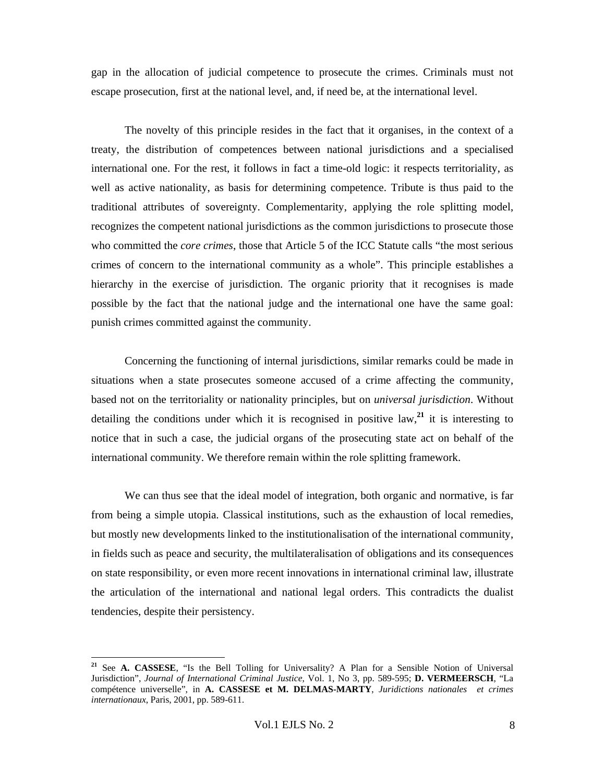gap in the allocation of judicial competence to prosecute the crimes. Criminals must not escape prosecution, first at the national level, and, if need be, at the international level.

The novelty of this principle resides in the fact that it organises, in the context of a treaty, the distribution of competences between national jurisdictions and a specialised international one. For the rest, it follows in fact a time-old logic: it respects territoriality, as well as active nationality, as basis for determining competence. Tribute is thus paid to the traditional attributes of sovereignty. Complementarity, applying the role splitting model, recognizes the competent national jurisdictions as the common jurisdictions to prosecute those who committed the *core crimes*, those that Article 5 of the ICC Statute calls "the most serious crimes of concern to the international community as a whole". This principle establishes a hierarchy in the exercise of jurisdiction. The organic priority that it recognises is made possible by the fact that the national judge and the international one have the same goal: punish crimes committed against the community.

Concerning the functioning of internal jurisdictions, similar remarks could be made in situations when a state prosecutes someone accused of a crime affecting the community, based not on the territoriality or nationality principles, but on *universal jurisdiction*. Without detailing the conditions under which it is recognised in positive law,**<sup>21</sup>** it is interesting to notice that in such a case, the judicial organs of the prosecuting state act on behalf of the international community. We therefore remain within the role splitting framework.

We can thus see that the ideal model of integration, both organic and normative, is far from being a simple utopia. Classical institutions, such as the exhaustion of local remedies, but mostly new developments linked to the institutionalisation of the international community, in fields such as peace and security, the multilateralisation of obligations and its consequences on state responsibility, or even more recent innovations in international criminal law, illustrate the articulation of the international and national legal orders. This contradicts the dualist tendencies, despite their persistency.

**<sup>21</sup>** See **A. CASSESE**, "Is the Bell Tolling for Universality? A Plan for a Sensible Notion of Universal Jurisdiction", *Journal of International Criminal Justice*, Vol. 1, No 3, pp. 589-595; **D. VERMEERSCH**, "La compétence universelle", in **A. CASSESE et M. DELMAS-MARTY**, *Juridictions nationales et crimes internationaux*, Paris, 2001, pp. 589-611.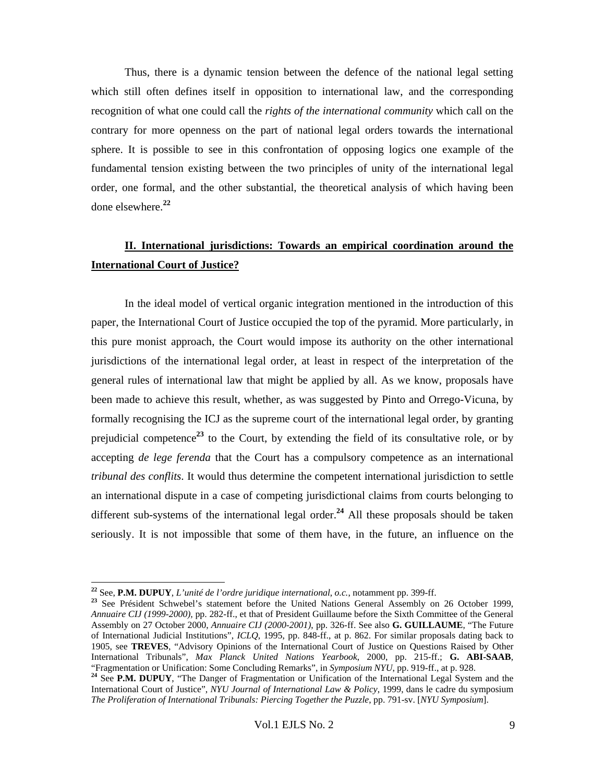Thus, there is a dynamic tension between the defence of the national legal setting which still often defines itself in opposition to international law, and the corresponding recognition of what one could call the *rights of the international community* which call on the contrary for more openness on the part of national legal orders towards the international sphere. It is possible to see in this confrontation of opposing logics one example of the fundamental tension existing between the two principles of unity of the international legal order, one formal, and the other substantial, the theoretical analysis of which having been done elsewhere.**<sup>22</sup>**

## **II. International jurisdictions: Towards an empirical coordination around the International Court of Justice?**

In the ideal model of vertical organic integration mentioned in the introduction of this paper, the International Court of Justice occupied the top of the pyramid. More particularly, in this pure monist approach, the Court would impose its authority on the other international jurisdictions of the international legal order, at least in respect of the interpretation of the general rules of international law that might be applied by all. As we know, proposals have been made to achieve this result, whether, as was suggested by Pinto and Orrego-Vicuna, by formally recognising the ICJ as the supreme court of the international legal order, by granting prejudicial competence**<sup>23</sup>** to the Court, by extending the field of its consultative role, or by accepting *de lege ferenda* that the Court has a compulsory competence as an international *tribunal des conflits*. It would thus determine the competent international jurisdiction to settle an international dispute in a case of competing jurisdictional claims from courts belonging to different sub-systems of the international legal order.**<sup>24</sup>** All these proposals should be taken seriously. It is not impossible that some of them have, in the future, an influence on the

<sup>&</sup>lt;sup>22</sup> See, **P.M. DUPUY**, *L'unité de l'ordre juridique international, o.c.*, notamment pp. 399-ff.

<sup>&</sup>lt;sup>23</sup> See Président Schwebel's statement before the United Nations General Assembly on 26 October 1999, *Annuaire CIJ (1999-2000),* pp. 282-ff., et that of President Guillaume before the Sixth Committee of the General Assembly on 27 October 2000, *Annuaire CIJ (2000-2001)*, pp. 326-ff. See also **G. GUILLAUME**, "The Future of International Judicial Institutions", *ICLQ*, 1995, pp. 848-ff., at p. 862. For similar proposals dating back to 1905, see **TREVES**, "Advisory Opinions of the International Court of Justice on Questions Raised by Other International Tribunals", *Max Planck United Nations Yearbook*, 2000, pp. 215-ff.; **G. ABI-SAAB**,

<sup>&</sup>lt;sup>24</sup> See P.M. DUPUY, "The Danger of Fragmentation or Unification of the International Legal System and the International Court of Justice", *NYU Journal of International Law & Policy*, 1999, dans le cadre du symposium *The Proliferation of International Tribunals: Piercing Together the Puzzle*, pp. 791-sv. [*NYU Symposium*].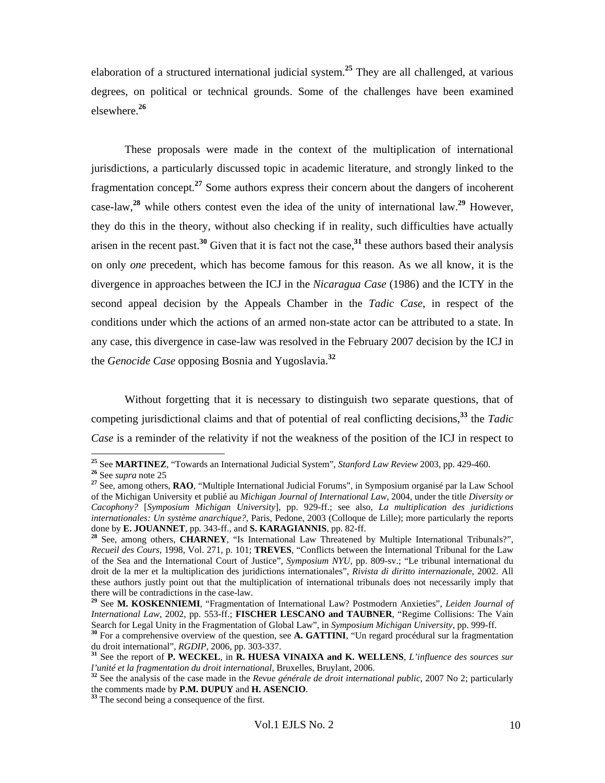elaboration of a structured international judicial system.**<sup>25</sup>** They are all challenged, at various degrees, on political or technical grounds. Some of the challenges have been examined elsewhere.**<sup>26</sup>**

These proposals were made in the context of the multiplication of international jurisdictions, a particularly discussed topic in academic literature, and strongly linked to the fragmentation concept.**<sup>27</sup>** Some authors express their concern about the dangers of incoherent case-law,**<sup>28</sup>** while others contest even the idea of the unity of international law.**<sup>29</sup>** However, they do this in the theory, without also checking if in reality, such difficulties have actually arisen in the recent past.**<sup>30</sup>** Given that it is fact not the case,**<sup>31</sup>** these authors based their analysis on only *one* precedent, which has become famous for this reason. As we all know, it is the divergence in approaches between the ICJ in the *Nicaragua Case* (1986) and the ICTY in the second appeal decision by the Appeals Chamber in the *Tadic Case*, in respect of the conditions under which the actions of an armed non-state actor can be attributed to a state. In any case, this divergence in case-law was resolved in the February 2007 decision by the ICJ in the *Genocide Case* opposing Bosnia and Yugoslavia.**<sup>32</sup>**

Without forgetting that it is necessary to distinguish two separate questions, that of competing jurisdictional claims and that of potential of real conflicting decisions,**<sup>33</sup>** the *Tadic Case* is a reminder of the relativity if not the weakness of the position of the ICJ in respect to

<sup>&</sup>lt;sup>25</sup> See MARTINEZ, "Towards an International Judicial System", Stanford Law Review 2003, pp. 429-460.

<sup>&</sup>lt;sup>26</sup> See *supra* note 25<br><sup>27</sup> See, among others, **RAO**, "Multiple International Judicial Forums", in Symposium organisé par la Law School of the Michigan University et publié au *Michigan Journal of International Law*, 2004, under the title *Diversity or Cacophony?* [*Symposium Michigan University*], pp. 929-ff.; see also, *La multiplication des juridictions internationales: Un système anarchique?*, Paris, Pedone, 2003 (Colloque de Lille); more particularly the reports done by **E. JOUANNET**, pp. 343-ff., and **S. KARAGIANNIS**, pp. 82-ff.

<sup>&</sup>lt;sup>28</sup> See, among others, **CHARNEY**, "Is International Law Threatened by Multiple International Tribunals?", *Recueil des Cours*, 1998, Vol. 271, p. 101; **TREVES**, "Conflicts between the International Tribunal for the Law of the Sea and the International Court of Justice", *Symposium NYU*, pp. 809-sv.; "Le tribunal international du droit de la mer et la multiplication des juridictions internationales", *Rivista di diritto internazionale*, 2002. All these authors justly point out that the multiplication of international tribunals does not necessarily imply that there will be contradictions in the case-law.

**<sup>29</sup>** See **M. KOSKENNIEMI**, "Fragmentation of International Law? Postmodern Anxieties", *Leiden Journal of International Law*, 2002, pp. 553-ff.; **FISCHER LESCANO and TAUBNER**, "Regime Collisions: The Vain Search for Legal Unity in the Fragmentation of Global Law", in Symposium Michigan University, pp. 999-ff.

<sup>&</sup>lt;sup>30</sup> For a comprehensive overview of the question, see **A. GATTINI**, "Un regard procédural sur la fragmentation du droit international",  $RGDIP$ , 2006, pp. 303-337.

<sup>&</sup>lt;sup>31</sup> See the report of **P. WECKEL**, in **R. HUESA VINAIXA and K. WELLENS**, *L'influence des sources sur l'unité et la fragmentation du droit international*, Bruxelles, Bruylant, 2006.

<sup>&</sup>lt;sup>32</sup> See the analysis of the case made in the *Revue générale de droit international public*, 2007 No 2; particularly the comments made by **P.M. DUPUY** and **H. ASENCIO**. **<sup>33</sup>** The second being a consequence of the first.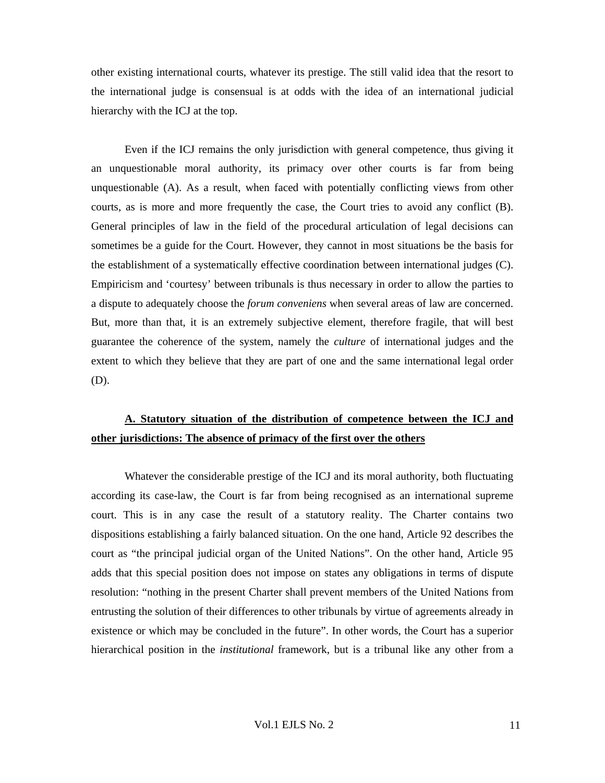other existing international courts, whatever its prestige. The still valid idea that the resort to the international judge is consensual is at odds with the idea of an international judicial hierarchy with the ICJ at the top.

Even if the ICJ remains the only jurisdiction with general competence, thus giving it an unquestionable moral authority, its primacy over other courts is far from being unquestionable (A). As a result, when faced with potentially conflicting views from other courts, as is more and more frequently the case, the Court tries to avoid any conflict (B). General principles of law in the field of the procedural articulation of legal decisions can sometimes be a guide for the Court. However, they cannot in most situations be the basis for the establishment of a systematically effective coordination between international judges (C). Empiricism and 'courtesy' between tribunals is thus necessary in order to allow the parties to a dispute to adequately choose the *forum conveniens* when several areas of law are concerned. But, more than that, it is an extremely subjective element, therefore fragile, that will best guarantee the coherence of the system, namely the *culture* of international judges and the extent to which they believe that they are part of one and the same international legal order (D).

# **A. Statutory situation of the distribution of competence between the ICJ and other jurisdictions: The absence of primacy of the first over the others**

Whatever the considerable prestige of the ICJ and its moral authority, both fluctuating according its case-law, the Court is far from being recognised as an international supreme court. This is in any case the result of a statutory reality. The Charter contains two dispositions establishing a fairly balanced situation. On the one hand, Article 92 describes the court as "the principal judicial organ of the United Nations". On the other hand, Article 95 adds that this special position does not impose on states any obligations in terms of dispute resolution: "nothing in the present Charter shall prevent members of the United Nations from entrusting the solution of their differences to other tribunals by virtue of agreements already in existence or which may be concluded in the future". In other words, the Court has a superior hierarchical position in the *institutional* framework, but is a tribunal like any other from a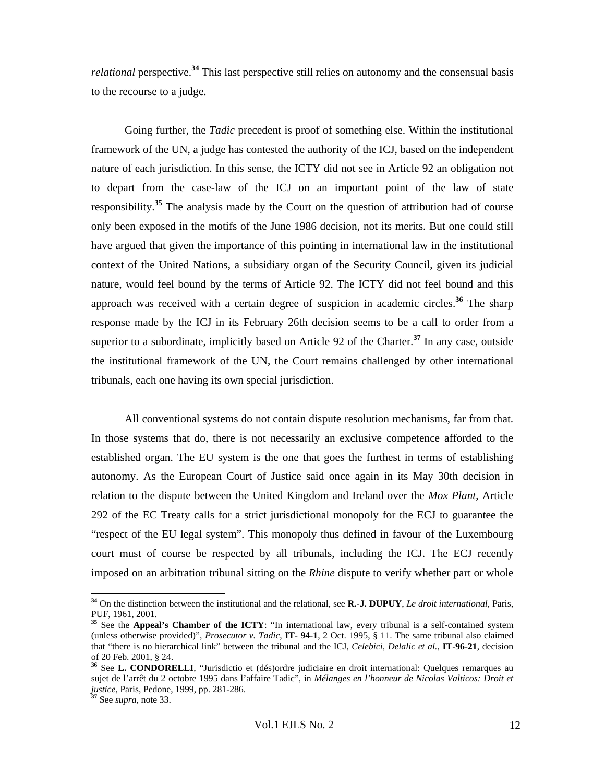*relational* perspective.**<sup>34</sup>** This last perspective still relies on autonomy and the consensual basis to the recourse to a judge.

Going further, the *Tadic* precedent is proof of something else. Within the institutional framework of the UN, a judge has contested the authority of the ICJ, based on the independent nature of each jurisdiction. In this sense, the ICTY did not see in Article 92 an obligation not to depart from the case-law of the ICJ on an important point of the law of state responsibility.**<sup>35</sup>** The analysis made by the Court on the question of attribution had of course only been exposed in the motifs of the June 1986 decision, not its merits. But one could still have argued that given the importance of this pointing in international law in the institutional context of the United Nations, a subsidiary organ of the Security Council, given its judicial nature, would feel bound by the terms of Article 92. The ICTY did not feel bound and this approach was received with a certain degree of suspicion in academic circles.**<sup>36</sup>** The sharp response made by the ICJ in its February 26th decision seems to be a call to order from a superior to a subordinate, implicitly based on Article 92 of the Charter.**<sup>37</sup>** In any case, outside the institutional framework of the UN, the Court remains challenged by other international tribunals, each one having its own special jurisdiction.

All conventional systems do not contain dispute resolution mechanisms, far from that. In those systems that do, there is not necessarily an exclusive competence afforded to the established organ. The EU system is the one that goes the furthest in terms of establishing autonomy. As the European Court of Justice said once again in its May 30th decision in relation to the dispute between the United Kingdom and Ireland over the *Mox Plant*, Article 292 of the EC Treaty calls for a strict jurisdictional monopoly for the ECJ to guarantee the "respect of the EU legal system". This monopoly thus defined in favour of the Luxembourg court must of course be respected by all tribunals, including the ICJ. The ECJ recently imposed on an arbitration tribunal sitting on the *Rhine* dispute to verify whether part or whole

**<sup>34</sup>** On the distinction between the institutional and the relational, see **R.-J. DUPUY**, *Le droit international*, Paris,

<sup>&</sup>lt;sup>35</sup> See the **Appeal's Chamber of the ICTY**: "In international law, every tribunal is a self-contained system (unless otherwise provided)", *Prosecutor v. Tadic*, **IT- 94-1**, 2 Oct. 1995, § 11. The same tribunal also claimed that "there is no hierarchical link" between the tribunal and the ICJ, *Celebici, Delalic et al.*, **IT-96-21**, decision of 20 Feb. 2001, § 24.

**<sup>36</sup>** See **L. CONDORELLI**, "Jurisdictio et (dés)ordre judiciaire en droit international: Quelques remarques au sujet de l'arrêt du 2 octobre 1995 dans l'affaire Tadic", in *Mélanges en l'honneur de Nicolas Valticos: Droit et justice*, Paris, Pedone, 1999, pp. 281-286. **<sup>37</sup>** See *supra*, note 33.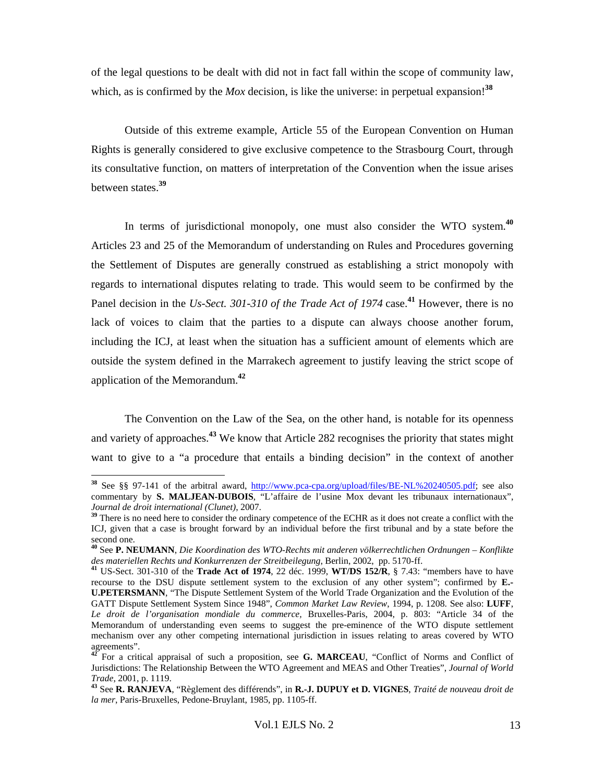of the legal questions to be dealt with did not in fact fall within the scope of community law, which, as is confirmed by the *Mox* decision, is like the universe: in perpetual expansion!<sup>38</sup>

Outside of this extreme example, Article 55 of the European Convention on Human Rights is generally considered to give exclusive competence to the Strasbourg Court, through its consultative function, on matters of interpretation of the Convention when the issue arises between states.**<sup>39</sup>**

In terms of jurisdictional monopoly, one must also consider the WTO system.**<sup>40</sup>** Articles 23 and 25 of the Memorandum of understanding on Rules and Procedures governing the Settlement of Disputes are generally construed as establishing a strict monopoly with regards to international disputes relating to trade. This would seem to be confirmed by the Panel decision in the *Us-Sect.* 301-310 of the Trade Act of 1974 case.<sup>41</sup> However, there is no lack of voices to claim that the parties to a dispute can always choose another forum, including the ICJ, at least when the situation has a sufficient amount of elements which are outside the system defined in the Marrakech agreement to justify leaving the strict scope of application of the Memorandum.**<sup>42</sup>**

The Convention on the Law of the Sea, on the other hand, is notable for its openness and variety of approaches.**<sup>43</sup>** We know that Article 282 recognises the priority that states might want to give to a "a procedure that entails a binding decision" in the context of another

 $\overline{a}$ 

**<sup>38</sup>** See §§ 97-141 of the arbitral award, http://www.pca-cpa.org/upload/files/BE-NL%20240505.pdf; see also commentary by **S. MALJEAN-DUBOIS**, "L'affaire de l'usine Mox devant les tribunaux internationaux", *Journal de droit international (Clunet)*, 2007.<br><sup>39</sup> There is no need here to consider the ordinary competence of the ECHR as it does not create a conflict with the

ICJ, given that a case is brought forward by an individual before the first tribunal and by a state before the second one.

**<sup>40</sup>** See **P. NEUMANN**, *Die Koordination des WTO-Rechts mit anderen völkerrechtlichen Ordnungen – Konflikte des materiellen Rechts und Konkurrenzen der Streitbeilegung*, Berlin, 2002, pp. 5170-ff. **<sup>41</sup>** US-Sect. 301-310 of the **Trade Act of 1974**, 22 déc. 1999, **WT/DS 152/R**, § 7.43: "members have to have

recourse to the DSU dispute settlement system to the exclusion of any other system"; confirmed by **E.- U.PETERSMANN**, "The Dispute Settlement System of the World Trade Organization and the Evolution of the GATT Dispute Settlement System Since 1948", *Common Market Law Review*, 1994, p. 1208. See also: **LUFF**, *Le droit de l'organisation mondiale du commerce,* Bruxelles-Paris, 2004, p. 803: "Article 34 of the Memorandum of understanding even seems to suggest the pre-eminence of the WTO dispute settlement mechanism over any other competing international jurisdiction in issues relating to areas covered by WTO agreements".

**<sup>42</sup>** For a critical appraisal of such a proposition, see **G. MARCEAU**, "Conflict of Norms and Conflict of Jurisdictions: The Relationship Between the WTO Agreement and MEAS and Other Treaties", *Journal of World* 

*Trade*, 2001, p. 1119. **<sup>43</sup>** See **R. RANJEVA**, "Règlement des différends", in **R.-J. DUPUY et D. VIGNES**, *Traité de nouveau droit de la mer*, Paris-Bruxelles, Pedone-Bruylant, 1985, pp. 1105-ff.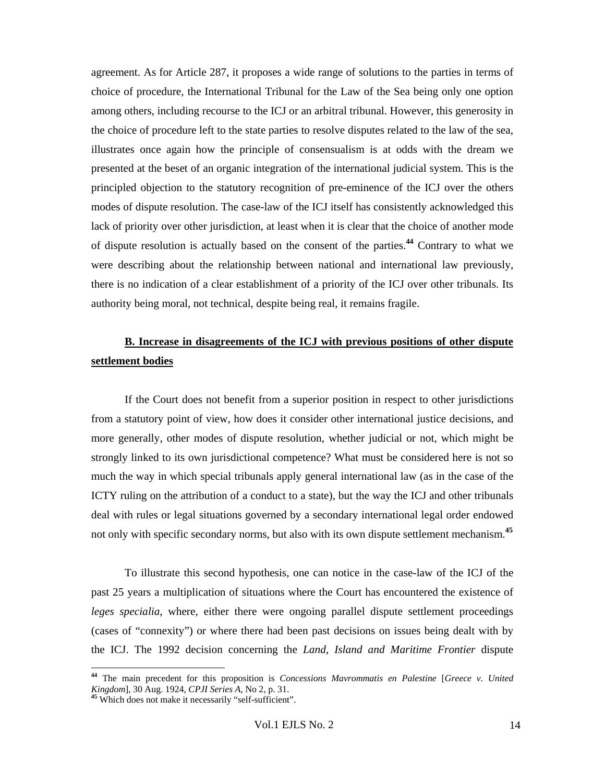agreement. As for Article 287, it proposes a wide range of solutions to the parties in terms of choice of procedure, the International Tribunal for the Law of the Sea being only one option among others, including recourse to the ICJ or an arbitral tribunal. However, this generosity in the choice of procedure left to the state parties to resolve disputes related to the law of the sea, illustrates once again how the principle of consensualism is at odds with the dream we presented at the beset of an organic integration of the international judicial system. This is the principled objection to the statutory recognition of pre-eminence of the ICJ over the others modes of dispute resolution. The case-law of the ICJ itself has consistently acknowledged this lack of priority over other jurisdiction, at least when it is clear that the choice of another mode of dispute resolution is actually based on the consent of the parties.**<sup>44</sup>** Contrary to what we were describing about the relationship between national and international law previously, there is no indication of a clear establishment of a priority of the ICJ over other tribunals. Its authority being moral, not technical, despite being real, it remains fragile.

#### **B. Increase in disagreements of the ICJ with previous positions of other dispute settlement bodies**

If the Court does not benefit from a superior position in respect to other jurisdictions from a statutory point of view, how does it consider other international justice decisions, and more generally, other modes of dispute resolution, whether judicial or not, which might be strongly linked to its own jurisdictional competence? What must be considered here is not so much the way in which special tribunals apply general international law (as in the case of the ICTY ruling on the attribution of a conduct to a state), but the way the ICJ and other tribunals deal with rules or legal situations governed by a secondary international legal order endowed not only with specific secondary norms, but also with its own dispute settlement mechanism.**<sup>45</sup>**

To illustrate this second hypothesis, one can notice in the case-law of the ICJ of the past 25 years a multiplication of situations where the Court has encountered the existence of *leges specialia*, where, either there were ongoing parallel dispute settlement proceedings (cases of "connexity") or where there had been past decisions on issues being dealt with by the ICJ. The 1992 decision concerning the *Land, Island and Maritime Frontier* dispute

**<sup>44</sup>** The main precedent for this proposition is *Concessions Mavrommatis en Palestine* [*Greece v. United Kingdom*], 30 Aug. 1924, *CPJI Series A*, No 2, p. 31. **<sup>45</sup>** Which does not make it necessarily "self-sufficient".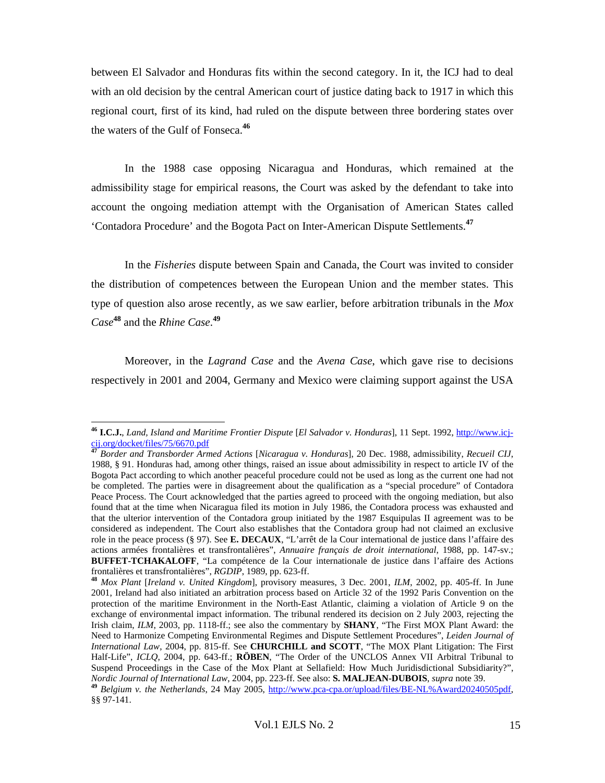between El Salvador and Honduras fits within the second category. In it, the ICJ had to deal with an old decision by the central American court of justice dating back to 1917 in which this regional court, first of its kind, had ruled on the dispute between three bordering states over the waters of the Gulf of Fonseca.**<sup>46</sup>**

In the 1988 case opposing Nicaragua and Honduras, which remained at the admissibility stage for empirical reasons, the Court was asked by the defendant to take into account the ongoing mediation attempt with the Organisation of American States called 'Contadora Procedure' and the Bogota Pact on Inter-American Dispute Settlements.**<sup>47</sup>**

In the *Fisheries* dispute between Spain and Canada, the Court was invited to consider the distribution of competences between the European Union and the member states. This type of question also arose recently, as we saw earlier, before arbitration tribunals in the *Mox Case***<sup>48</sup>** and the *Rhine Case*. **49**

Moreover, in the *Lagrand Case* and the *Avena Case*, which gave rise to decisions respectively in 2001 and 2004, Germany and Mexico were claiming support against the USA

**<sup>46</sup> I.C.J.**, *Land, Island and Maritime Frontier Dispute* [*El Salvador v. Honduras*], 11 Sept. 1992, http://www.icjcij.org/docket/files/75/6670.pdf

**<sup>47</sup>** *Border and Transborder Armed Actions* [*Nicaragua v. Honduras*], 20 Dec. 1988, admissibility, *Recueil CIJ*, 1988, § 91. Honduras had, among other things, raised an issue about admissibility in respect to article IV of the Bogota Pact according to which another peaceful procedure could not be used as long as the current one had not be completed. The parties were in disagreement about the qualification as a "special procedure" of Contadora Peace Process. The Court acknowledged that the parties agreed to proceed with the ongoing mediation, but also found that at the time when Nicaragua filed its motion in July 1986, the Contadora process was exhausted and that the ulterior intervention of the Contadora group initiated by the 1987 Esquipulas II agreement was to be considered as independent. The Court also establishes that the Contadora group had not claimed an exclusive role in the peace process (§ 97). See **E. DECAUX**, "L'arrêt de la Cour international de justice dans l'affaire des actions armées frontalières et transfrontalières", *Annuaire français de droit international*, 1988, pp. 147-sv.; **BUFFET-TCHAKALOFF**, "La compétence de la Cour internationale de justice dans l'affaire des Actions

frontalières et transfrontalières", *RGDIP*, 1989, pp. 623-ff. **<sup>48</sup>** *Mox Plant* [*Ireland v. United Kingdom*], provisory measures, 3 Dec. 2001, *ILM*, 2002, pp. 405-ff. In June 2001, Ireland had also initiated an arbitration process based on Article 32 of the 1992 Paris Convention on the protection of the maritime Environment in the North-East Atlantic, claiming a violation of Article 9 on the exchange of environmental impact information. The tribunal rendered its decision on 2 July 2003, rejecting the Irish claim, *ILM*, 2003, pp. 1118-ff.; see also the commentary by **SHANY**, "The First MOX Plant Award: the Need to Harmonize Competing Environmental Regimes and Dispute Settlement Procedures", *Leiden Journal of International Law*, 2004, pp. 815-ff. See **CHURCHILL and SCOTT**, "The MOX Plant Litigation: The First Half-Life", *ICLQ*, 2004, pp. 643-ff.; **RÖBEN**, "The Order of the UNCLOS Annex VII Arbitral Tribunal to Suspend Proceedings in the Case of the Mox Plant at Sellafield: How Much Juridisdictional Subsidiarity?", Nordic Journal of International Law, 2004, pp. 223-ff. See also: **S. MALJEAN-DUBOIS**, supra note 39.<br><sup>49</sup> Belgium v. the Netherlands, 24 May 2005, http://www.pca-cpa.or/upload/files/BE-NL%Award20240505pdf,

<sup>§§ 97-141.</sup>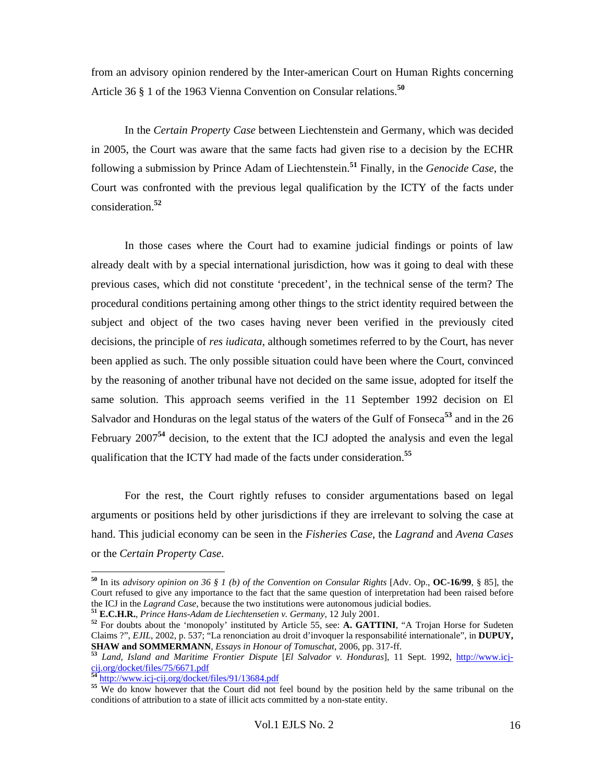from an advisory opinion rendered by the Inter-american Court on Human Rights concerning Article 36 § 1 of the 1963 Vienna Convention on Consular relations.**<sup>50</sup>**

In the *Certain Property Case* between Liechtenstein and Germany, which was decided in 2005, the Court was aware that the same facts had given rise to a decision by the ECHR following a submission by Prince Adam of Liechtenstein.**<sup>51</sup>** Finally, in the *Genocide Case*, the Court was confronted with the previous legal qualification by the ICTY of the facts under consideration.**<sup>52</sup>**

In those cases where the Court had to examine judicial findings or points of law already dealt with by a special international jurisdiction, how was it going to deal with these previous cases, which did not constitute 'precedent', in the technical sense of the term? The procedural conditions pertaining among other things to the strict identity required between the subject and object of the two cases having never been verified in the previously cited decisions, the principle of *res iudicata*, although sometimes referred to by the Court, has never been applied as such. The only possible situation could have been where the Court, convinced by the reasoning of another tribunal have not decided on the same issue, adopted for itself the same solution. This approach seems verified in the 11 September 1992 decision on El Salvador and Honduras on the legal status of the waters of the Gulf of Fonseca**<sup>53</sup>** and in the 26 February 2007**<sup>54</sup>** decision, to the extent that the ICJ adopted the analysis and even the legal qualification that the ICTY had made of the facts under consideration.**<sup>55</sup>**

For the rest, the Court rightly refuses to consider argumentations based on legal arguments or positions held by other jurisdictions if they are irrelevant to solving the case at hand. This judicial economy can be seen in the *Fisheries Case*, the *Lagrand* and *Avena Cases* or the *Certain Property Case*.

**<sup>50</sup>** In its *advisory opinion on 36 § 1 (b) of the Convention on Consular Rights* [Adv. Op., **OC-16/99**, § 85], the Court refused to give any importance to the fact that the same question of interpretation had been raised before the ICJ in the *Lagrand Case*, because the two institutions were autonomous judicial bodies.

<sup>&</sup>lt;sup>51</sup> E.C.H.R., *Prince Hans-Adam de Liechtensetien v. Germany*, 12 July 2001.<br><sup>52</sup> For doubts about the 'monopoly' instituted by Article 55, see: **A. GATTINI**, "A Trojan Horse for Sudeten Claims ?", *EJIL*, 2002, p. 537; "La renonciation au droit d'invoquer la responsabilité internationale", in **DUPUY,** 

**SHAW and SOMMERMANN**, *Essays in Honour of Tomuschat*, 2006, pp. 317-ff. **<sup>53</sup>** *Land, Island and Maritime Frontier Dispute* [*El Salvador v. Honduras*], 11 Sept. 1992, http://www.icjcij.org/docket/files/75/6671.pdf<br>
<sup>54</sup> http://www.icj-cij.org/docket/files/91/13684.pdf

<sup>&</sup>lt;sup>55</sup> We do know however that the Court did not feel bound by the position held by the same tribunal on the conditions of attribution to a state of illicit acts committed by a non-state entity.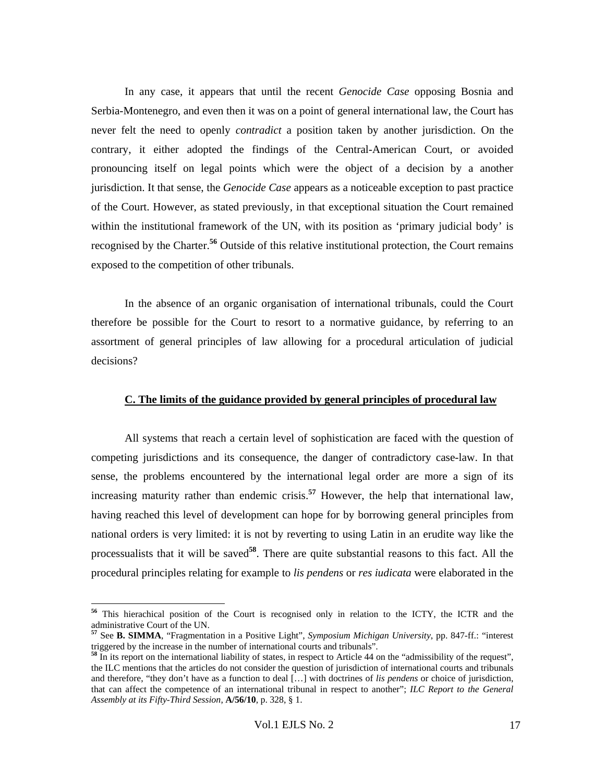In any case, it appears that until the recent *Genocide Case* opposing Bosnia and Serbia-Montenegro, and even then it was on a point of general international law, the Court has never felt the need to openly *contradict* a position taken by another jurisdiction. On the contrary, it either adopted the findings of the Central-American Court, or avoided pronouncing itself on legal points which were the object of a decision by a another jurisdiction. It that sense, the *Genocide Case* appears as a noticeable exception to past practice of the Court. However, as stated previously, in that exceptional situation the Court remained within the institutional framework of the UN, with its position as 'primary judicial body' is recognised by the Charter.**<sup>56</sup>** Outside of this relative institutional protection, the Court remains exposed to the competition of other tribunals.

In the absence of an organic organisation of international tribunals, could the Court therefore be possible for the Court to resort to a normative guidance, by referring to an assortment of general principles of law allowing for a procedural articulation of judicial decisions?

#### **C. The limits of the guidance provided by general principles of procedural law**

All systems that reach a certain level of sophistication are faced with the question of competing jurisdictions and its consequence, the danger of contradictory case-law. In that sense, the problems encountered by the international legal order are more a sign of its increasing maturity rather than endemic crisis.**<sup>57</sup>** However, the help that international law, having reached this level of development can hope for by borrowing general principles from national orders is very limited: it is not by reverting to using Latin in an erudite way like the processualists that it will be saved**<sup>58</sup>**. There are quite substantial reasons to this fact. All the procedural principles relating for example to *lis pendens* or *res iudicata* were elaborated in the

 $\overline{a}$ 

**<sup>56</sup>** This hierachical position of the Court is recognised only in relation to the ICTY, the ICTR and the administrative Court of the UN.

**<sup>57</sup>** See **B. SIMMA**, "Fragmentation in a Positive Light", *Symposium Michigan University*, pp. 847-ff.: "interest triggered by the increase in the number of international courts and tribunals".

**<sup>58</sup>** In its report on the international liability of states, in respect to Article 44 on the "admissibility of the request", the ILC mentions that the articles do not consider the question of jurisdiction of international courts and tribunals and therefore, "they don't have as a function to deal […] with doctrines of *lis pendens* or choice of jurisdiction, that can affect the competence of an international tribunal in respect to another"; *ILC Report to the General Assembly at its Fifty-Third Session*, **A/56/10**, p. 328, § 1.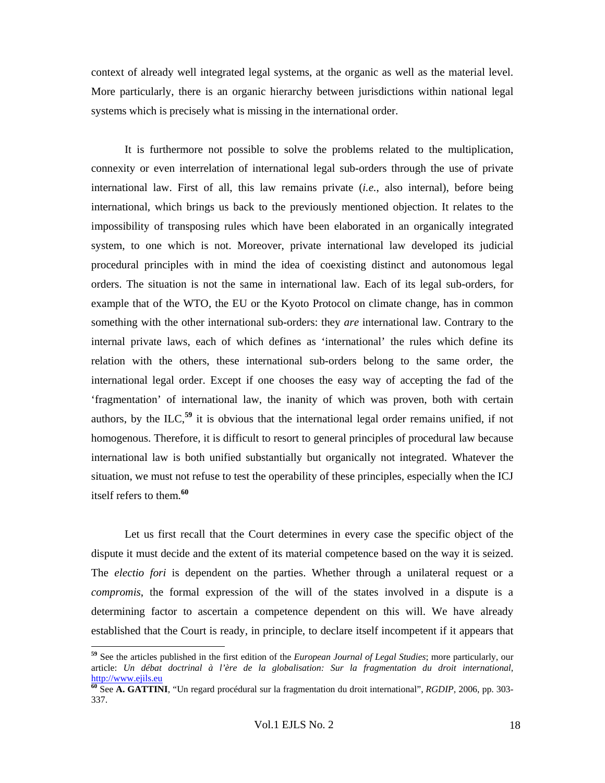context of already well integrated legal systems, at the organic as well as the material level. More particularly, there is an organic hierarchy between jurisdictions within national legal systems which is precisely what is missing in the international order.

It is furthermore not possible to solve the problems related to the multiplication, connexity or even interrelation of international legal sub-orders through the use of private international law. First of all, this law remains private (*i.e.*, also internal), before being international, which brings us back to the previously mentioned objection. It relates to the impossibility of transposing rules which have been elaborated in an organically integrated system, to one which is not. Moreover, private international law developed its judicial procedural principles with in mind the idea of coexisting distinct and autonomous legal orders. The situation is not the same in international law. Each of its legal sub-orders, for example that of the WTO, the EU or the Kyoto Protocol on climate change, has in common something with the other international sub-orders: they *are* international law. Contrary to the internal private laws, each of which defines as 'international' the rules which define its relation with the others, these international sub-orders belong to the same order, the international legal order. Except if one chooses the easy way of accepting the fad of the 'fragmentation' of international law, the inanity of which was proven, both with certain authors, by the ILC,**<sup>59</sup>** it is obvious that the international legal order remains unified, if not homogenous. Therefore, it is difficult to resort to general principles of procedural law because international law is both unified substantially but organically not integrated. Whatever the situation, we must not refuse to test the operability of these principles, especially when the ICJ itself refers to them.**<sup>60</sup>**

Let us first recall that the Court determines in every case the specific object of the dispute it must decide and the extent of its material competence based on the way it is seized. The *electio fori* is dependent on the parties. Whether through a unilateral request or a *compromis*, the formal expression of the will of the states involved in a dispute is a determining factor to ascertain a competence dependent on this will. We have already established that the Court is ready, in principle, to declare itself incompetent if it appears that

**<sup>59</sup>** See the articles published in the first edition of the *European Journal of Legal Studies*; more particularly, our article: *Un débat doctrinal à l'ère de la globalisation: Sur la fragmentation du droit international*, http://www.ejils.eu

**<sup>60</sup>** See **A. GATTINI**, "Un regard procédural sur la fragmentation du droit international", *RGDIP*, 2006, pp. 303- 337.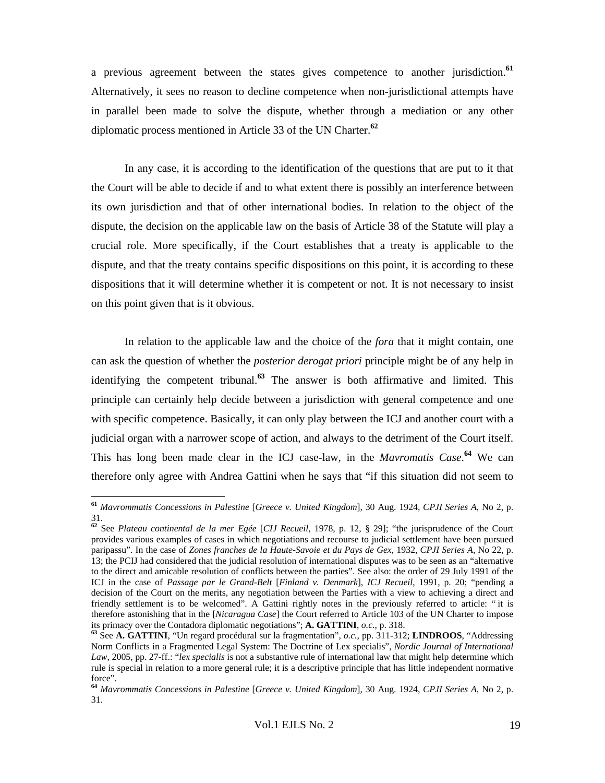a previous agreement between the states gives competence to another jurisdiction.**<sup>61</sup>** Alternatively, it sees no reason to decline competence when non-jurisdictional attempts have in parallel been made to solve the dispute, whether through a mediation or any other diplomatic process mentioned in Article 33 of the UN Charter.**<sup>62</sup>**

In any case, it is according to the identification of the questions that are put to it that the Court will be able to decide if and to what extent there is possibly an interference between its own jurisdiction and that of other international bodies. In relation to the object of the dispute, the decision on the applicable law on the basis of Article 38 of the Statute will play a crucial role. More specifically, if the Court establishes that a treaty is applicable to the dispute, and that the treaty contains specific dispositions on this point, it is according to these dispositions that it will determine whether it is competent or not. It is not necessary to insist on this point given that is it obvious.

In relation to the applicable law and the choice of the *fora* that it might contain, one can ask the question of whether the *posterior derogat priori* principle might be of any help in identifying the competent tribunal.**<sup>63</sup>** The answer is both affirmative and limited. This principle can certainly help decide between a jurisdiction with general competence and one with specific competence. Basically, it can only play between the ICJ and another court with a judicial organ with a narrower scope of action, and always to the detriment of the Court itself. This has long been made clear in the ICJ case-law, in the *Mavromatis Case*. **<sup>64</sup>** We can therefore only agree with Andrea Gattini when he says that "if this situation did not seem to

**<sup>61</sup>** *Mavrommatis Concessions in Palestine* [*Greece v. United Kingdom*], 30 Aug. 1924, *CPJI Series A*, No 2, p. 31.

**<sup>62</sup>** See *Plateau continental de la mer Egée* [*CIJ Recueil*, 1978, p. 12, § 29]; "the jurisprudence of the Court provides various examples of cases in which negotiations and recourse to judicial settlement have been pursued paripassu". In the case of *Zones franches de la Haute-Savoie et du Pays de Gex*, 1932, *CPJI Series A*, No 22, p. 13; the PCIJ had considered that the judicial resolution of international disputes was to be seen as an "alternative to the direct and amicable resolution of conflicts between the parties". See also: the order of 29 July 1991 of the ICJ in the case of *Passage par le Grand-Belt* [*Finland v. Denmark*], *ICJ Recueil*, 1991, p. 20; "pending a decision of the Court on the merits, any negotiation between the Parties with a view to achieving a direct and friendly settlement is to be welcomed". A Gattini rightly notes in the previously referred to article: " it is therefore astonishing that in the [*Nicaragua Case*] the Court referred to Article 103 of the UN Charter to impose its primacy over the Contadora diplomatic negotiations"; **A. GATTINI**, *o.c.*, p. 318.

<sup>63</sup> See A. GATTINI, "Un regard procédural sur la fragmentation", o.c., pp. 311-312; LINDROOS, "Addressing Norm Conflicts in a Fragmented Legal System: The Doctrine of Lex specialis", *Nordic Journal of International Law*, 2005, pp. 27-ff.: "*lex specialis* is not a substantive rule of international law that might help determine which rule is special in relation to a more general rule; it is a descriptive principle that has little independent normative force".

**<sup>64</sup>** *Mavrommatis Concessions in Palestine* [*Greece v. United Kingdom*], 30 Aug. 1924, *CPJI Series A*, No 2, p. 31.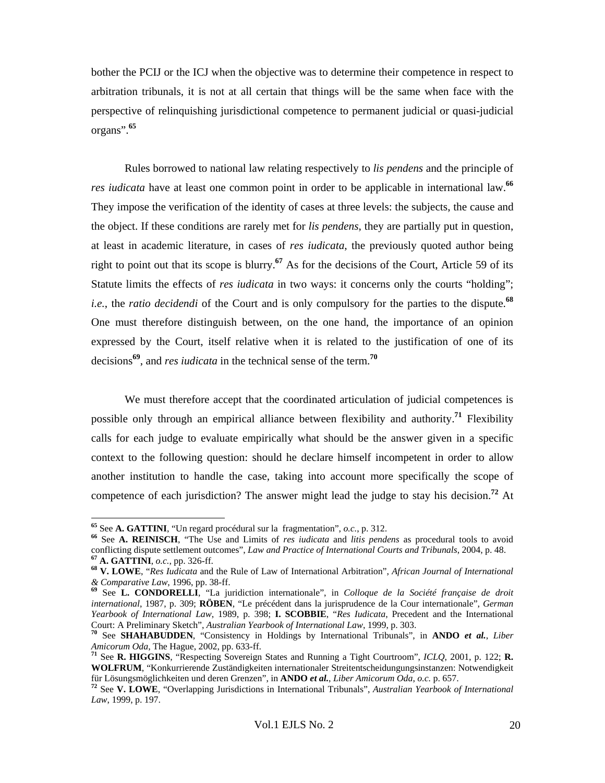bother the PCIJ or the ICJ when the objective was to determine their competence in respect to arbitration tribunals, it is not at all certain that things will be the same when face with the perspective of relinquishing jurisdictional competence to permanent judicial or quasi-judicial organs".**<sup>65</sup>**

Rules borrowed to national law relating respectively to *lis pendens* and the principle of *res iudicata* have at least one common point in order to be applicable in international law.**<sup>66</sup>** They impose the verification of the identity of cases at three levels: the subjects, the cause and the object. If these conditions are rarely met for *lis pendens*, they are partially put in question, at least in academic literature, in cases of *res iudicata*, the previously quoted author being right to point out that its scope is blurry.**<sup>67</sup>** As for the decisions of the Court, Article 59 of its Statute limits the effects of *res iudicata* in two ways: it concerns only the courts "holding"; *i.e.*, the *ratio decidendi* of the Court and is only compulsory for the parties to the dispute.<sup>68</sup> One must therefore distinguish between, on the one hand, the importance of an opinion expressed by the Court, itself relative when it is related to the justification of one of its decisions**<sup>69</sup>**, and *res iudicata* in the technical sense of the term.**<sup>70</sup>**

We must therefore accept that the coordinated articulation of judicial competences is possible only through an empirical alliance between flexibility and authority.**<sup>71</sup>** Flexibility calls for each judge to evaluate empirically what should be the answer given in a specific context to the following question: should he declare himself incompetent in order to allow another institution to handle the case, taking into account more specifically the scope of competence of each jurisdiction? The answer might lead the judge to stay his decision.**<sup>72</sup>** At

<sup>&</sup>lt;sup>65</sup> See A. GATTINI, "Un regard procédural sur la fragmentation",  $o.c., p. 312.$ 

<sup>&</sup>lt;sup>66</sup> See A. REINISCH, "The Use and Limits of *res iudicata* and *litis pendens* as procedural tools to avoid conflicting dispute settlement outcomes", Law and Practice of International Courts and Tribunals, 2004, p. 48.

<sup>&</sup>lt;sup>67</sup> A. GATTINI, *o.c.*, pp. 326-ff.<br><sup>68</sup> V. LOWE, "*Res Iudicata* and the Rule of Law of International Arbitration", *African Journal of International & Comparative Law*, 1996, pp. 38-ff. **<sup>69</sup>** See **L. CONDORELLI**, "La juridiction internationale", in *Colloque de la Société française de droit* 

*international*, 1987, p. 309; **RÖBEN**, "Le précédent dans la jurisprudence de la Cour internationale", *German Yearbook of International Law*, 1989, p. 398; **I. SCOBBIE**, "*Res Iudicata*, Precedent and the International

<sup>&</sup>lt;sup>70</sup> See **SHAHABUDDEN**, "Consistency in Holdings by International Tribunals", in **ANDO** *et al.*, *Liber Amicorum Oda*, The Hague, 2002, pp. 633-ff.

<sup>&</sup>lt;sup>71</sup> See **R. HIGGINS**, "Respecting Sovereign States and Running a Tight Courtroom", *ICLQ*, 2001, p. 122; **R.** WOLFRUM, "Konkurrierende Zuständigkeiten internationaler Streitentscheidungungsinstanzen: Notwendigkeit für Lösungsmöglichkeiten und deren Grenzen", in ANDO et al., Liber Amicorum Oda, o.c. p. 657.

<sup>&</sup>lt;sup>72</sup> See V. LOWE, "Overlapping Jurisdictions in International Tribunals", Australian Yearbook of International *Law*, 1999, p. 197.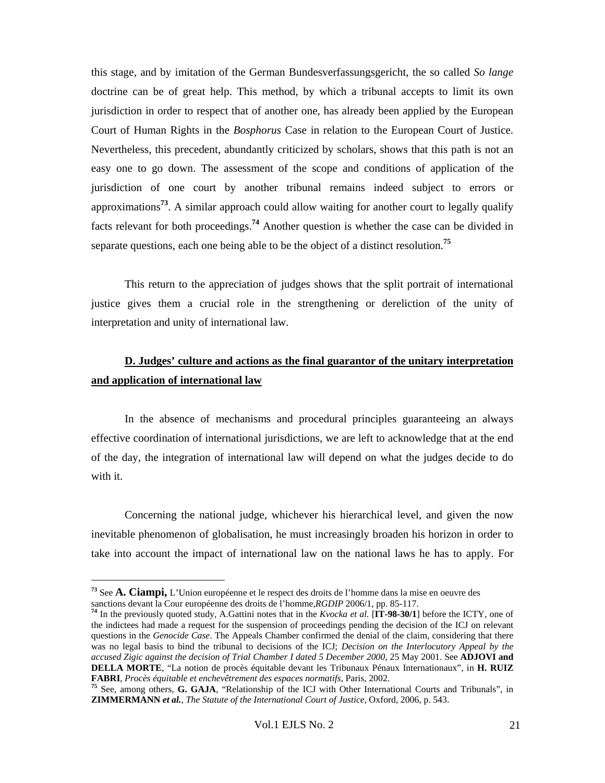this stage, and by imitation of the German Bundesverfassungsgericht, the so called *So lange*  doctrine can be of great help. This method, by which a tribunal accepts to limit its own jurisdiction in order to respect that of another one, has already been applied by the European Court of Human Rights in the *Bosphorus* Case in relation to the European Court of Justice. Nevertheless, this precedent, abundantly criticized by scholars, shows that this path is not an easy one to go down. The assessment of the scope and conditions of application of the jurisdiction of one court by another tribunal remains indeed subject to errors or approximations**<sup>73</sup>**. A similar approach could allow waiting for another court to legally qualify facts relevant for both proceedings.**<sup>74</sup>** Another question is whether the case can be divided in separate questions, each one being able to be the object of a distinct resolution.**<sup>75</sup>**

This return to the appreciation of judges shows that the split portrait of international justice gives them a crucial role in the strengthening or dereliction of the unity of interpretation and unity of international law.

## **D. Judges' culture and actions as the final guarantor of the unitary interpretation and application of international law**

In the absence of mechanisms and procedural principles guaranteeing an always effective coordination of international jurisdictions, we are left to acknowledge that at the end of the day, the integration of international law will depend on what the judges decide to do with it.

Concerning the national judge, whichever his hierarchical level, and given the now inevitable phenomenon of globalisation, he must increasingly broaden his horizon in order to take into account the impact of international law on the national laws he has to apply. For

**<sup>73</sup>** See **A. Ciampi,** L'Union européenne et le respect des droits de l'homme dans la mise en oeuvre des

<sup>&</sup>lt;sup>74</sup> In the previously quoted study, A.Gattini notes that in the *Kvocka et al.* [ $\hat{IT}$ -98-30/1] before the ICTY, one of the indictees had made a request for the suspension of proceedings pending the decision of the ICJ on relevant questions in the *Genocide Case*. The Appeals Chamber confirmed the denial of the claim, considering that there was no legal basis to bind the tribunal to decisions of the ICJ; *Decision on the Interlocutory Appeal by the accused Zigic against the decision of Trial Chamber I dated 5 December 2000*, 25 May 2001. See **ADJOVI and DELLA MORTE**, "La notion de procès équitable devant les Tribunaux Pénaux Internationaux", in **H. RUIZ FABRI**, *Procès équitable et enchevêtrement des espaces normatifs*, Paris, 2002. **<sup>75</sup>** See, among others, **G. GAJA**, "Relationship of the ICJ with Other International Courts and Tribunals", in

**ZIMMERMANN** *et al.*, *The Statute of the International Court of Justice*, Oxford, 2006, p. 543.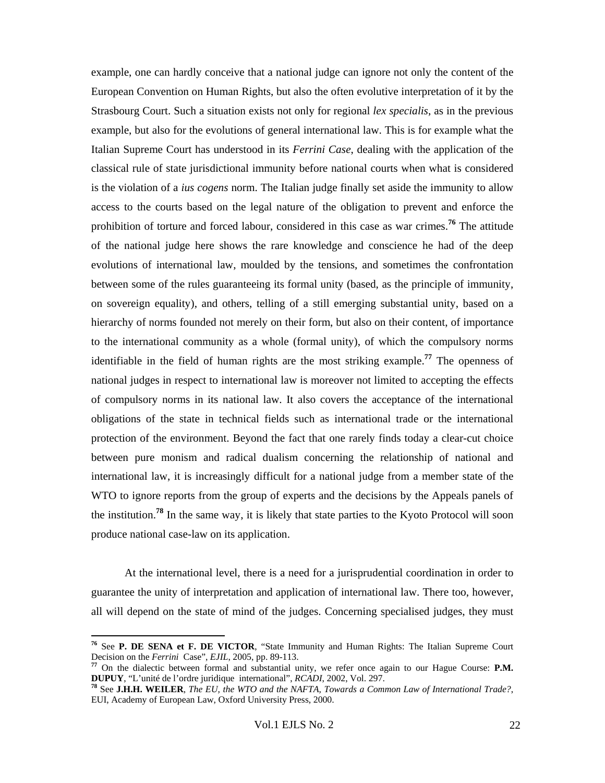example, one can hardly conceive that a national judge can ignore not only the content of the European Convention on Human Rights, but also the often evolutive interpretation of it by the Strasbourg Court. Such a situation exists not only for regional *lex specialis*, as in the previous example, but also for the evolutions of general international law. This is for example what the Italian Supreme Court has understood in its *Ferrini Case*, dealing with the application of the classical rule of state jurisdictional immunity before national courts when what is considered is the violation of a *ius cogens* norm. The Italian judge finally set aside the immunity to allow access to the courts based on the legal nature of the obligation to prevent and enforce the prohibition of torture and forced labour, considered in this case as war crimes.**<sup>76</sup>** The attitude of the national judge here shows the rare knowledge and conscience he had of the deep evolutions of international law, moulded by the tensions, and sometimes the confrontation between some of the rules guaranteeing its formal unity (based, as the principle of immunity, on sovereign equality), and others, telling of a still emerging substantial unity, based on a hierarchy of norms founded not merely on their form, but also on their content, of importance to the international community as a whole (formal unity), of which the compulsory norms identifiable in the field of human rights are the most striking example.**<sup>77</sup>** The openness of national judges in respect to international law is moreover not limited to accepting the effects of compulsory norms in its national law. It also covers the acceptance of the international obligations of the state in technical fields such as international trade or the international protection of the environment. Beyond the fact that one rarely finds today a clear-cut choice between pure monism and radical dualism concerning the relationship of national and international law, it is increasingly difficult for a national judge from a member state of the WTO to ignore reports from the group of experts and the decisions by the Appeals panels of the institution.**<sup>78</sup>** In the same way, it is likely that state parties to the Kyoto Protocol will soon produce national case-law on its application.

At the international level, there is a need for a jurisprudential coordination in order to guarantee the unity of interpretation and application of international law. There too, however, all will depend on the state of mind of the judges. Concerning specialised judges, they must

<sup>&</sup>lt;sup>76</sup> See **P. DE SENA et F. DE VICTOR**, "State Immunity and Human Rights: The Italian Supreme Court Decision on the *Ferrini* Case", *EJIL*, 2005, pp. 89-113.

<sup>&</sup>lt;sup>77</sup> On the dialectic between formal and substantial unity, we refer once again to our Hague Course: **P.M. DUPUY**, "L'unité de l'ordre juridique international", *RCADI*, 2002, Vol. 297.

<sup>&</sup>lt;sup>78</sup> See J.H.H. WEILER, *The EU, the WTO and the NAFTA, Towards a Common Law of International Trade?*, EUI, Academy of European Law, Oxford University Press, 2000.